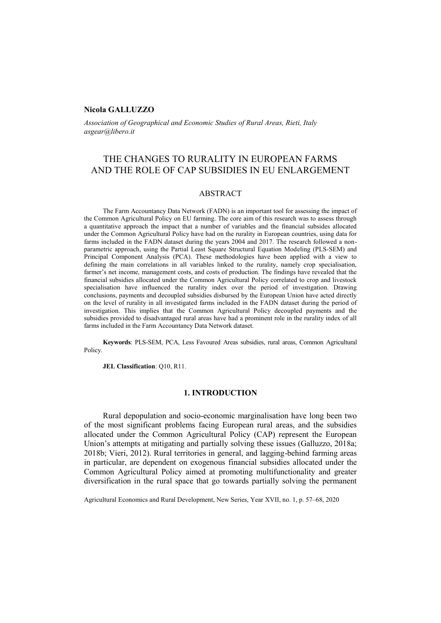### **Nicola GALLUZZO**

*Association of Geographical and Economic Studies of Rural Areas, Rieti, Italy asgear@libero.it*

# THE CHANGES TO RURALITY IN EUROPEAN FARMS AND THE ROLE OF CAP SUBSIDIES IN EU ENLARGEMENT

### ABSTRACT

The Farm Accountancy Data Network (FADN) is an important tool for assessing the impact of the Common Agricultural Policy on EU farming. The core aim of this research was to assess through a quantitative approach the impact that a number of variables and the financial subsides allocated under the Common Agricultural Policy have had on the rurality in European countries, using data for farms included in the FADN dataset during the years 2004 and 2017. The research followed a nonparametric approach, using the Partial Least Square Structural Equation Modeling (PLS-SEM) and Principal Component Analysis (PCA). These methodologies have been applied with a view to defining the main correlations in all variables linked to the rurality, namely crop specialisation, farmer's net income, management costs, and costs of production. The findings have revealed that the financial subsidies allocated under the Common Agricultural Policy correlated to crop and livestock specialisation have influenced the rurality index over the period of investigation. Drawing conclusions, payments and decoupled subsidies disbursed by the European Union have acted directly on the level of rurality in all investigated farms included in the FADN dataset during the period of investigation. This implies that the Common Agricultural Policy decoupled payments and the subsidies provided to disadvantaged rural areas have had a prominent role in the rurality index of all farms included in the Farm Accountancy Data Network dataset.

**Keywords**: PLS-SEM, PCA, Less Favoured Areas subsidies, rural areas, Common Agricultural Policy.

**JEL Classification**: Q10, R11.

## **1. INTRODUCTION**

Rural depopulation and socio-economic marginalisation have long been two of the most significant problems facing European rural areas, and the subsidies allocated under the Common Agricultural Policy (CAP) represent the European Union's attempts at mitigating and partially solving these issues (Galluzzo, 2018a; 2018b; Vieri, 2012). Rural territories in general, and lagging-behind farming areas in particular, are dependent on exogenous financial subsidies allocated under the Common Agricultural Policy aimed at promoting multifunctionality and greater diversification in the rural space that go towards partially solving the permanent

Agricultural Economics and Rural Development, New Series, Year XVII, no. 1, p. 57–68, 2020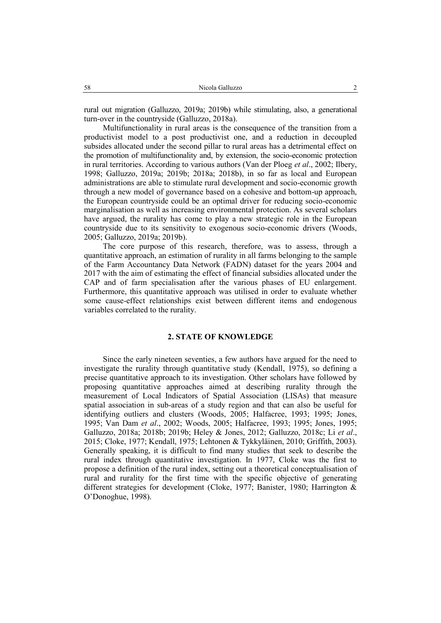rural out migration (Galluzzo, 2019a; 2019b) while stimulating, also, a generational turn-over in the countryside (Galluzzo, 2018a).

Multifunctionality in rural areas is the consequence of the transition from a productivist model to a post productivist one, and a reduction in decoupled subsides allocated under the second pillar to rural areas has a detrimental effect on the promotion of multifunctionality and, by extension, the socio-economic protection in rural territories. According to various authors (Van der Ploeg *et al*., 2002; Ilbery, 1998; Galluzzo, 2019a; 2019b; 2018a; 2018b), in so far as local and European administrations are able to stimulate rural development and socio-economic growth through a new model of governance based on a cohesive and bottom-up approach, the European countryside could be an optimal driver for reducing socio-economic marginalisation as well as increasing environmental protection. As several scholars have argued, the rurality has come to play a new strategic role in the European countryside due to its sensitivity to exogenous socio-economic drivers (Woods, 2005; Galluzzo, 2019a; 2019b).

The core purpose of this research, therefore, was to assess, through a quantitative approach, an estimation of rurality in all farms belonging to the sample of the Farm Accountancy Data Network (FADN) dataset for the years 2004 and 2017 with the aim of estimating the effect of financial subsidies allocated under the CAP and of farm specialisation after the various phases of EU enlargement. Furthermore, this quantitative approach was utilised in order to evaluate whether some cause-effect relationships exist between different items and endogenous variables correlated to the rurality.

### **2. STATE OF KNOWLEDGE**

Since the early nineteen seventies, a few authors have argued for the need to investigate the rurality through quantitative study (Kendall, 1975), so defining a precise quantitative approach to its investigation. Other scholars have followed by proposing quantitative approaches aimed at describing rurality through the measurement of Local Indicators of Spatial Association (LISAs) that measure spatial association in sub-areas of a study region and that can also be useful for identifying outliers and clusters (Woods, 2005; Halfacree, 1993; 1995; Jones, 1995; Van Dam *et al*., 2002; Woods, 2005; Halfacree, 1993; 1995; Jones, 1995; Galluzzo, 2018a; 2018b; 2019b; Heley & Jones, 2012; Galluzzo, 2018c; Li *et al*., 2015; Cloke, 1977; Kendall, 1975; Lehtonen & Tykkyläinen, 2010; Griffith, 2003). Generally speaking, it is difficult to find many studies that seek to describe the rural index through quantitative investigation. In 1977, Cloke was the first to propose a definition of the rural index, setting out a theoretical conceptualisation of rural and rurality for the first time with the specific objective of generating different strategies for development (Cloke, 1977; Banister, 1980; Harrington & O'Donoghue, 1998).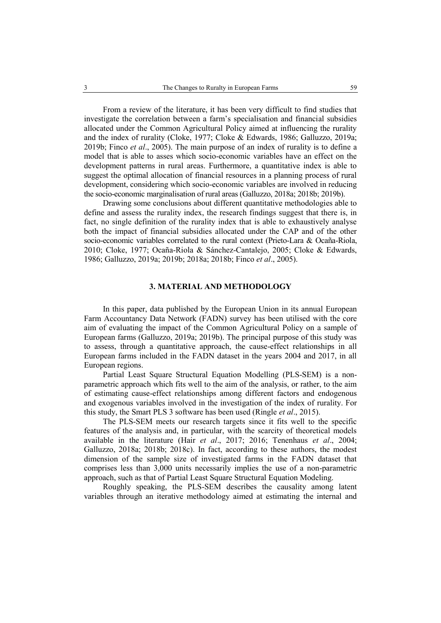From a review of the literature, it has been very difficult to find studies that investigate the correlation between a farm's specialisation and financial subsidies allocated under the Common Agricultural Policy aimed at influencing the rurality and the index of rurality (Cloke, 1977; Cloke & Edwards, 1986; Galluzzo, 2019a; 2019b; Finco *et al*., 2005). The main purpose of an index of rurality is to define a model that is able to asses which socio-economic variables have an effect on the development patterns in rural areas. Furthermore, a quantitative index is able to suggest the optimal allocation of financial resources in a planning process of rural development, considering which socio-economic variables are involved in reducing the socio-economic marginalisation of rural areas (Galluzzo, 2018a; 2018b; 2019b).

Drawing some conclusions about different quantitative methodologies able to define and assess the rurality index, the research findings suggest that there is, in fact, no single definition of the rurality index that is able to exhaustively analyse both the impact of financial subsidies allocated under the CAP and of the other socio-economic variables correlated to the rural context (Prieto-Lara & Ocaña-Riola, 2010; Cloke, 1977; Ocaña-Riola & Sánchez-Cantalejo, 2005; Cloke & Edwards, 1986; Galluzzo, 2019a; 2019b; 2018a; 2018b; Finco *et al*., 2005).

### **3. MATERIAL AND METHODOLOGY**

In this paper, data published by the European Union in its annual European Farm Accountancy Data Network (FADN) survey has been utilised with the core aim of evaluating the impact of the Common Agricultural Policy on a sample of European farms (Galluzzo, 2019a; 2019b). The principal purpose of this study was to assess, through a quantitative approach, the cause-effect relationships in all European farms included in the FADN dataset in the years 2004 and 2017, in all European regions.

Partial Least Square Structural Equation Modelling (PLS-SEM) is a nonparametric approach which fits well to the aim of the analysis, or rather, to the aim of estimating cause-effect relationships among different factors and endogenous and exogenous variables involved in the investigation of the index of rurality. For this study, the Smart PLS 3 software has been used (Ringle *et al*., 2015).

The PLS-SEM meets our research targets since it fits well to the specific features of the analysis and, in particular, with the scarcity of theoretical models available in the literature (Hair *et al*., 2017; 2016; Tenenhaus *et al*., 2004; Galluzzo, 2018a; 2018b; 2018c). In fact, according to these authors, the modest dimension of the sample size of investigated farms in the FADN dataset that comprises less than 3,000 units necessarily implies the use of a non-parametric approach, such as that of Partial Least Square Structural Equation Modeling.

Roughly speaking, the PLS-SEM describes the causality among latent variables through an iterative methodology aimed at estimating the internal and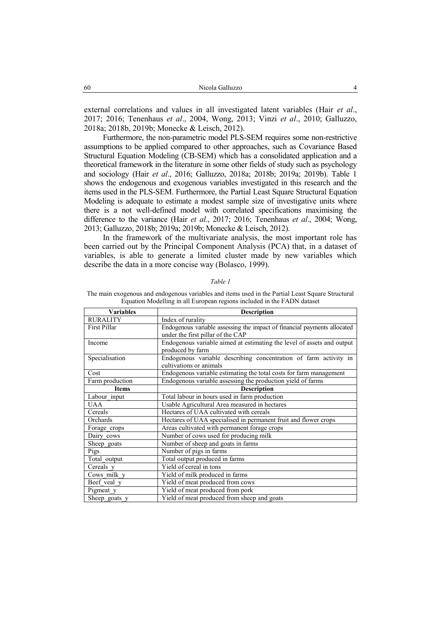external correlations and values in all investigated latent variables (Hair *et al*., 2017; 2016; Tenenhaus *et al*., 2004, Wong, 2013; Vinzi *et al*., 2010; Galluzzo, 2018a; 2018b, 2019b; Monecke & Leisch, 2012).

Furthermore, the non-parametric model PLS-SEM requires some non-restrictive assumptions to be applied compared to other approaches, such as Covariance Based Structural Equation Modeling (CB-SEM) which has a consolidated application and a theoretical framework in the literature in some other fields of study such as psychology and sociology (Hair *et al*., 2016; Galluzzo, 2018a; 2018b; 2019a; 2019b). Table 1 shows the endogenous and exogenous variables investigated in this research and the items used in the PLS-SEM. Furthermore, the Partial Least Square Structural Equation Modeling is adequate to estimate a modest sample size of investigative units where there is a not well-defined model with correlated specifications maximising the difference to the variance (Hair *et al*., 2017; 2016; Tenenhaus *et al*., 2004; Wong, 2013; Galluzzo, 2018b; 2019a; 2019b; Monecke & Leisch, 2012).

In the framework of the multivariate analysis, the most important role has been carried out by the Principal Component Analysis (PCA) that, in a dataset of variables, is able to generate a limited cluster made by new variables which describe the data in a more concise way (Bolasco, 1999).

#### *Table 1*

The main exogenous and endogenous variables and items used in the Partial Least Square Structural Equation Modelling in all European regions included in the FADN dataset

| <b>Variables</b>    | <b>Description</b>                                                                                            |  |  |  |  |  |
|---------------------|---------------------------------------------------------------------------------------------------------------|--|--|--|--|--|
| <b>RURALITY</b>     | Index of rurality                                                                                             |  |  |  |  |  |
| <b>First Pillar</b> | Endogenous variable assessing the impact of financial payments allocated<br>under the first pillar of the CAP |  |  |  |  |  |
| Income              | Endogenous variable aimed at estimating the level of assets and output<br>produced by farm                    |  |  |  |  |  |
| Specialisation      | Endogenous variable describing concentration of farm activity in<br>cultivations or animals                   |  |  |  |  |  |
| Cost                | Endogenous variable estimating the total costs for farm management                                            |  |  |  |  |  |
| Farm production     | Endogenous variable assessing the production yield of farms                                                   |  |  |  |  |  |
| <b>Items</b>        | <b>Description</b>                                                                                            |  |  |  |  |  |
| Labour input        | Total labour in hours used in farm production                                                                 |  |  |  |  |  |
| <b>UAA</b>          | Usable Agricultural Area measured in hectares                                                                 |  |  |  |  |  |
| Cereals             | Hectares of UAA cultivated with cereals                                                                       |  |  |  |  |  |
| Orchards            | Hectares of UAA specialised in permanent fruit and flower crops                                               |  |  |  |  |  |
| Forage crops        | Areas cultivated with permanent forage crops                                                                  |  |  |  |  |  |
| Dairy cows          | Number of cows used for producing milk                                                                        |  |  |  |  |  |
| Sheep goats         | Number of sheep and goats in farms                                                                            |  |  |  |  |  |
| Pigs                | Number of pigs in farms                                                                                       |  |  |  |  |  |
| Total output        | Total output produced in farms                                                                                |  |  |  |  |  |
| Cereals y           | Yield of cereal in tons                                                                                       |  |  |  |  |  |
| Cows milk y         | Yield of milk produced in farms                                                                               |  |  |  |  |  |
| Beef veal y         | Yield of meat produced from cows                                                                              |  |  |  |  |  |
| Pigmeat y           | Yield of meat produced from pork                                                                              |  |  |  |  |  |
| Sheep goats y       | Yield of meat produced from sheep and goats                                                                   |  |  |  |  |  |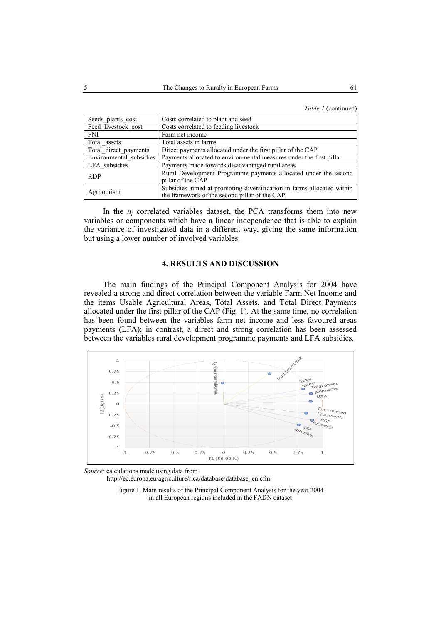*Table 1* (continued)

| Seeds plants cost       | Costs correlated to plant and seed                                     |  |  |  |  |  |
|-------------------------|------------------------------------------------------------------------|--|--|--|--|--|
| Feed livestock cost     | Costs correlated to feeding livestock                                  |  |  |  |  |  |
| <b>FNI</b>              | Farm net income                                                        |  |  |  |  |  |
| Total assets            | Total assets in farms                                                  |  |  |  |  |  |
| Total direct payments   | Direct payments allocated under the first pillar of the CAP            |  |  |  |  |  |
| Environmental subsidies | Payments allocated to environmental measures under the first pillar    |  |  |  |  |  |
| LFA subsidies           | Payments made towards disadvantaged rural areas                        |  |  |  |  |  |
| <b>RDP</b>              | Rural Development Programme payments allocated under the second        |  |  |  |  |  |
|                         | pillar of the CAP                                                      |  |  |  |  |  |
| Agritourism             | Subsidies aimed at promoting diversification in farms allocated within |  |  |  |  |  |
|                         | the framework of the second pillar of the CAP                          |  |  |  |  |  |

In the  $n_i$  correlated variables dataset, the PCA transforms them into new variables or components which have a linear independence that is able to explain the variance of investigated data in a different way, giving the same information but using a lower number of involved variables.

#### **4. RESULTS AND DISCUSSION**

The main findings of the Principal Component Analysis for 2004 have revealed a strong and direct correlation between the variable Farm Net Income and the items Usable Agricultural Areas, Total Assets, and Total Direct Payments allocated under the first pillar of the CAP (Fig. 1). At the same time, no correlation has been found between the variables farm net income and less favoured areas payments (LFA); in contrast, a direct and strong correlation has been assessed between the variables rural development programme payments and LFA subsidies.



*Source:* calculations made using data from

http://ec.europa.eu/agriculture/rica/database/database\_en.cfm

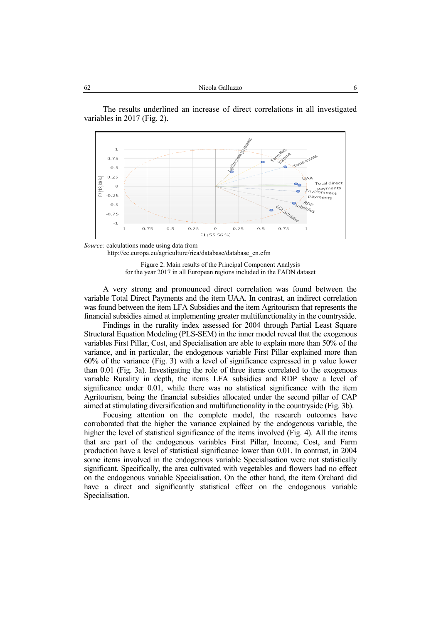The results underlined an increase of direct correlations in all investigated variables in 2017 (Fig. 2).



*Source:* calculations made using data from http://ec.europa.eu/agriculture/rica/database/database\_en.cfm

Figure 2. Main results of the Principal Component Analysis for the year 2017 in all European regions included in the FADN dataset

A very strong and pronounced direct correlation was found between the variable Total Direct Payments and the item UAA. In contrast, an indirect correlation was found between the item LFA Subsidies and the item Agritourism that represents the financial subsidies aimed at implementing greater multifunctionality in the countryside.

Findings in the rurality index assessed for 2004 through Partial Least Square Structural Equation Modeling (PLS-SEM) in the inner model reveal that the exogenous variables First Pillar, Cost, and Specialisation are able to explain more than 50% of the variance, and in particular, the endogenous variable First Pillar explained more than 60% of the variance (Fig. 3) with a level of significance expressed in p value lower than 0.01 (Fig. 3a). Investigating the role of three items correlated to the exogenous variable Rurality in depth, the items LFA subsidies and RDP show a level of significance under 0.01, while there was no statistical significance with the item Agritourism, being the financial subsidies allocated under the second pillar of CAP aimed at stimulating diversification and multifunctionality in the countryside (Fig. 3b).

Focusing attention on the complete model, the research outcomes have corroborated that the higher the variance explained by the endogenous variable, the higher the level of statistical significance of the items involved (Fig. 4). All the items that are part of the endogenous variables First Pillar, Income, Cost, and Farm production have a level of statistical significance lower than 0.01. In contrast, in 2004 some items involved in the endogenous variable Specialisation were not statistically significant. Specifically, the area cultivated with vegetables and flowers had no effect on the endogenous variable Specialisation. On the other hand, the item Orchard did have a direct and significantly statistical effect on the endogenous variable Specialisation.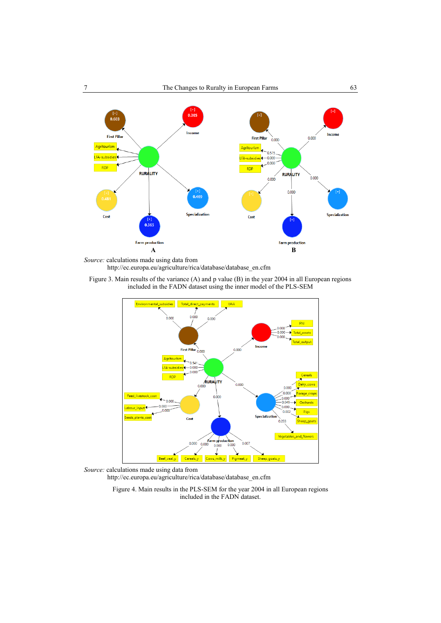

*Source:* calculations made using data from http://ec.europa.eu/agriculture/rica/database/database\_en.cfm

Figure 3. Main results of the variance (A) and p value (B) in the year 2004 in all European regions included in the FADN dataset using the inner model of the PLS-SEM



*Source:* calculations made using data from http://ec.europa.eu/agriculture/rica/database/database\_en.cfm

Figure 4. Main results in the PLS-SEM for the year 2004 in all European regions included in the FADN dataset.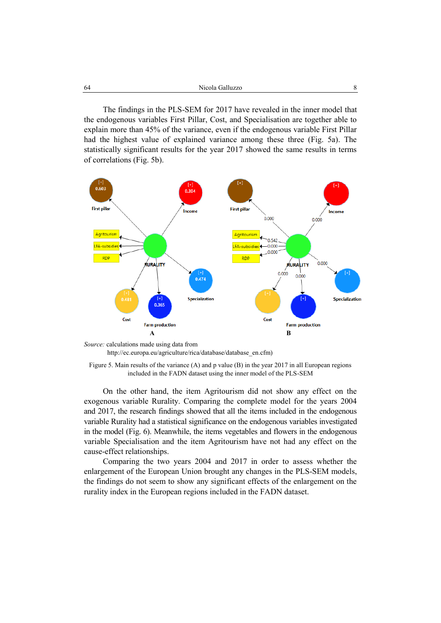The findings in the PLS-SEM for 2017 have revealed in the inner model that the endogenous variables First Pillar, Cost, and Specialisation are together able to explain more than 45% of the variance, even if the endogenous variable First Pillar had the highest value of explained variance among these three (Fig. 5a). The statistically significant results for the year 2017 showed the same results in terms of correlations (Fig. 5b).



*Source:* calculations made using data from http://ec.europa.eu/agriculture/rica/database/database\_en.cfm)

On the other hand, the item Agritourism did not show any effect on the exogenous variable Rurality. Comparing the complete model for the years 2004 and 2017, the research findings showed that all the items included in the endogenous variable Rurality had a statistical significance on the endogenous variables investigated in the model (Fig. 6). Meanwhile, the items vegetables and flowers in the endogenous variable Specialisation and the item Agritourism have not had any effect on the cause-effect relationships.

Comparing the two years 2004 and 2017 in order to assess whether the enlargement of the European Union brought any changes in the PLS-SEM models, the findings do not seem to show any significant effects of the enlargement on the rurality index in the European regions included in the FADN dataset.

Figure 5. Main results of the variance (A) and p value (B) in the year 2017 in all European regions included in the FADN dataset using the inner model of the PLS-SEM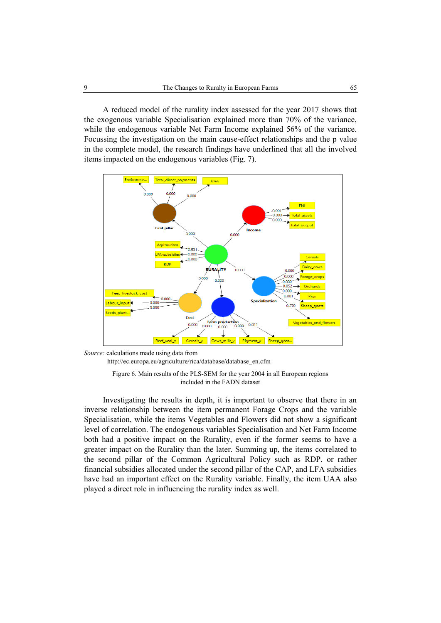A reduced model of the rurality index assessed for the year 2017 shows that the exogenous variable Specialisation explained more than 70% of the variance, while the endogenous variable Net Farm Income explained 56% of the variance. Focussing the investigation on the main cause-effect relationships and the p value in the complete model, the research findings have underlined that all the involved items impacted on the endogenous variables (Fig. 7).



*Source:* calculations made using data from http://ec.europa.eu/agriculture/rica/database/database\_en.cfm

Figure 6. Main results of the PLS-SEM for the year 2004 in all European regions included in the FADN dataset

Investigating the results in depth, it is important to observe that there in an inverse relationship between the item permanent Forage Crops and the variable Specialisation, while the items Vegetables and Flowers did not show a significant level of correlation. The endogenous variables Specialisation and Net Farm Income both had a positive impact on the Rurality, even if the former seems to have a greater impact on the Rurality than the later. Summing up, the items correlated to the second pillar of the Common Agricultural Policy such as RDP, or rather financial subsidies allocated under the second pillar of the CAP, and LFA subsidies have had an important effect on the Rurality variable. Finally, the item UAA also played a direct role in influencing the rurality index as well.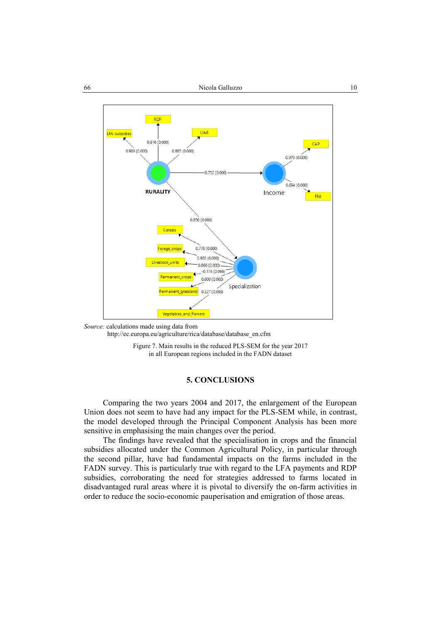

*Source:* calculations made using data from http://ec.europa.eu/agriculture/rica/database/database\_en.cfm

Figure 7. Main results in the reduced PLS-SEM for the year 2017 in all European regions included in the FADN dataset

#### **5. CONCLUSIONS**

Comparing the two years 2004 and 2017, the enlargement of the European Union does not seem to have had any impact for the PLS-SEM while, in contrast, the model developed through the Principal Component Analysis has been more sensitive in emphasising the main changes over the period.

The findings have revealed that the specialisation in crops and the financial subsidies allocated under the Common Agricultural Policy, in particular through the second pillar, have had fundamental impacts on the farms included in the FADN survey. This is particularly true with regard to the LFA payments and RDP subsidies, corroborating the need for strategies addressed to farms located in disadvantaged rural areas where it is pivotal to diversify the on-farm activities in order to reduce the socio-economic pauperisation and emigration of those areas.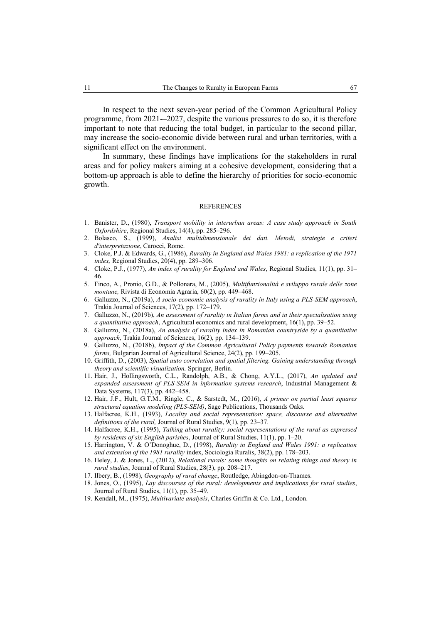In respect to the next seven-year period of the Common Agricultural Policy programme, from 2021-–2027, despite the various pressures to do so, it is therefore important to note that reducing the total budget, in particular to the second pillar, may increase the socio-economic divide between rural and urban territories, with a significant effect on the environment.

In summary, these findings have implications for the stakeholders in rural areas and for policy makers aiming at a cohesive development, considering that a bottom-up approach is able to define the hierarchy of priorities for socio-economic growth.

#### **REFERENCES**

- 1. Banister, D., (1980), *Transport mobility in interurban areas: A case study approach in South Oxfordshire*, Regional Studies, 14(4), pp. 285–296.
- 2. Bolasco, S., (1999), *Analisi multidimensionale dei dati. Metodi, strategie e criteri d'interpretazione*, Carocci, Rome.
- 3. Cloke, P.J. & Edwards, G., (1986), *Rurality in England and Wales 1981: a replication of the 1971 index,* Regional Studies, 20(4), pp. 289–306.
- 4. Cloke, P.J., (1977), *An index of rurality for England and Wales*, Regional Studies, 11(1), pp. 31– 46.
- 5. Finco, A., Pronio, G.D., & Pollonara, M., (2005), *Multifunzionalità e sviluppo rurale delle zone montane,* Rivista di Economia Agraria, 60(2), pp. 449–468.
- 6. Galluzzo, N., (2019a), *A socio-economic analysis of rurality in Italy using a PLS-SEM approach*, Trakia Journal of Sciences, 17(2), pp. 172–179.
- 7. Galluzzo, N., (2019b), *An assessment of rurality in Italian farms and in their specialisation using a quantitative approach*, Agricultural economics and rural development, 16(1), pp. 39–52.
- 8. Galluzzo, N., (2018a), *An analysis of rurality index in Romanian countryside by a quantitative approach,* Trakia Journal of Sciences, 16(2), pp. 134–139.
- 9. Galluzzo, N., (2018b), *Impact of the Common Agricultural Policy payments towards Romanian farms,* Bulgarian Journal of Agricultural Science, 24(2), pp. 199–205.
- 10. Griffith, D., (2003), *Spatial auto correlation and spatial filtering. Gaining understanding through theory and scientific visualization,* Springer, Berlin.
- 11. Hair, J., Hollingsworth, C.L., Randolph, A.B., & Chong, A.Y.L., (2017), *An updated and expanded assessment of PLS-SEM in information systems research*, Industrial Management & Data Systems, 117(3), pp. 442–458.
- 12. Hair, J.F., Hult, G.T.M., Ringle, C., & Sarstedt, M., (2016), *A primer on partial least squares structural equation modeling (PLS-SEM)*, Sage Publications, Thousands Oaks.
- 13. Halfacree, K.H., (1993), *Locality and social representation: space, discourse and alternative definitions of the rural,* Journal of Rural Studies, 9(1), pp. 23–37.
- 14. Halfacree, K.H., (1995), *Talking about rurality: social representations of the rural as expressed by residents of six English parishes*, Journal of Rural Studies, 11(1), pp. 1–20.
- 15. Harrington, V. & O'Donoghue, D., (1998), *Rurality in England and Wales 1991: a replication and extension of the 1981 rurality* index, Sociologia Ruralis, 38(2), pp. 178–203.
- 16. Heley, J. & Jones, L., (2012), *Relational rurals: some thoughts on relating things and theory in rural studies*, Journal of Rural Studies, 28(3), pp. 208–217.
- 17. Ilbery, B., (1998), *Geography of rural change*, Routledge, Abingdon-on-Thames.
- 18. Jones, O., (1995), *Lay discourses of the rural: developments and implications for rural studies*, Journal of Rural Studies, 11(1), pp. 35–49.
- 19. Kendall, M., (1975), *Multivariate analysis*, Charles Griffin & Co. Ltd., London.